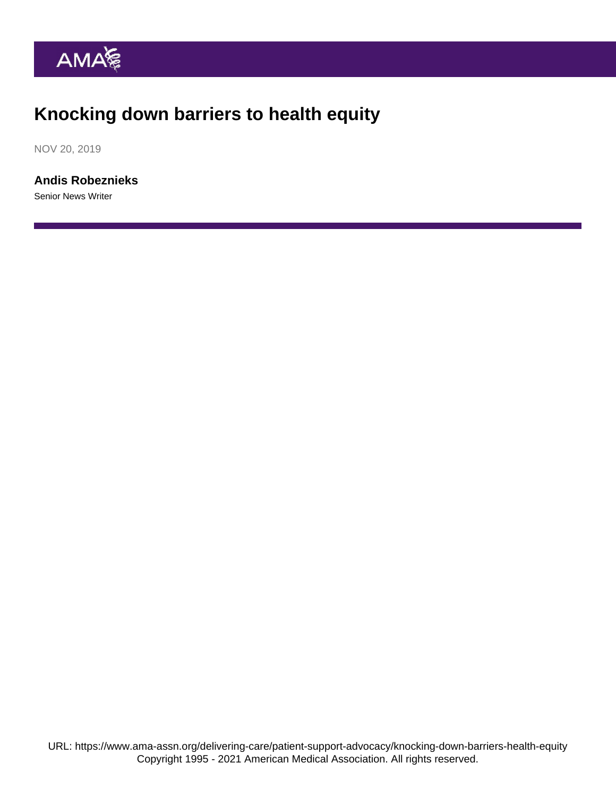## Knocking down barriers to health equity

NOV 20, 2019

[Andis Robeznieks](https://www.ama-assn.org/news-leadership-viewpoints/authors-news-leadership-viewpoints/andis-robeznieks) Senior News Writer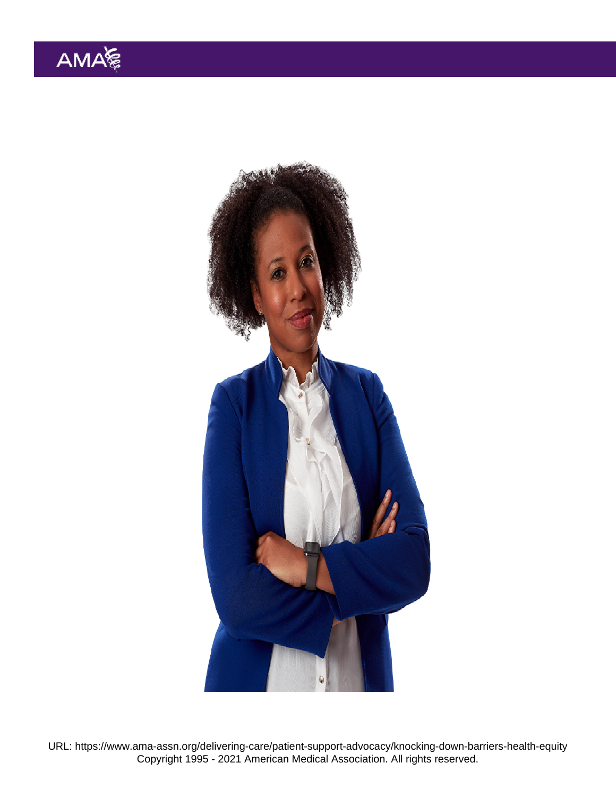URL: <https://www.ama-assn.org/delivering-care/patient-support-advocacy/knocking-down-barriers-health-equity> Copyright 1995 - 2021 American Medical Association. All rights reserved.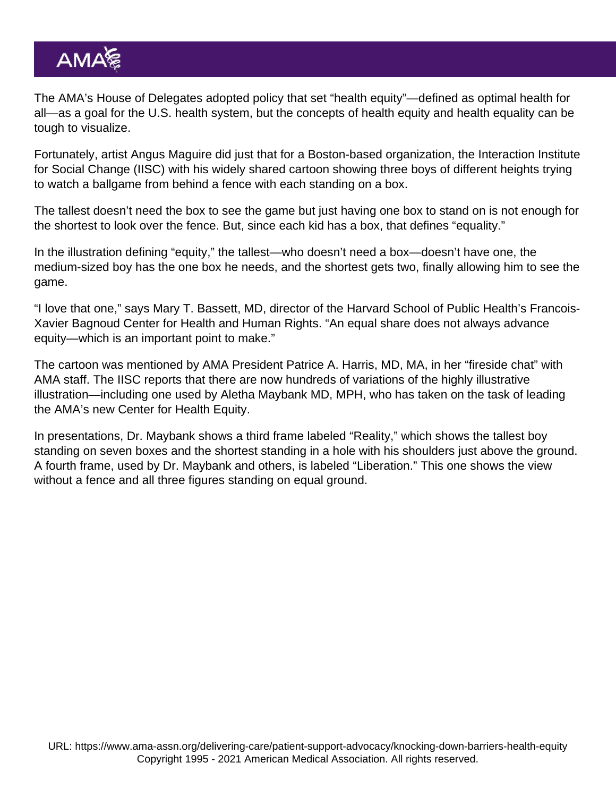The AMA's House of Delegates adopted policy that set "health equity"—defined as optimal health for all—as a goal for the U.S. health system, but the concepts of health equity and health equality can be tough to visualize.

Fortunately, artist Angus Maguire did just that for a Boston-based organization, the Interaction Institute for Social Change (IISC) with his widely shared cartoon showing three boys of different heights trying to watch a ballgame from behind a fence with each standing on a box.

The tallest doesn't need the box to see the game but just having one box to stand on is not enough for the shortest to look over the fence. But, since each kid has a box, that defines "equality."

In the illustration defining "equity," the tallest—who doesn't need a box—doesn't have one, the medium-sized boy has the one box he needs, and the shortest gets two, finally allowing him to see the game.

"I love that one," says Mary T. Bassett, MD, director of the Harvard School of Public Health's Francois-Xavier Bagnoud Center for Health and Human Rights. "An equal share does not always advance equity—which is an important point to make."

The cartoon was mentioned by AMA President Patrice A. Harris, MD, MA, in her "fireside chat" with AMA staff. The IISC reports that there are now hundreds of variations of the highly illustrative illustration—including one used by Aletha Maybank MD, MPH, who has taken on the task of leading the AMA's new Center for Health Equity.

In presentations, Dr. Maybank shows a third frame labeled "Reality," which shows the tallest boy standing on seven boxes and the shortest standing in a hole with his shoulders just above the ground. A fourth frame, used by Dr. Maybank and others, is labeled "Liberation." This one shows the view without a fence and all three figures standing on equal ground.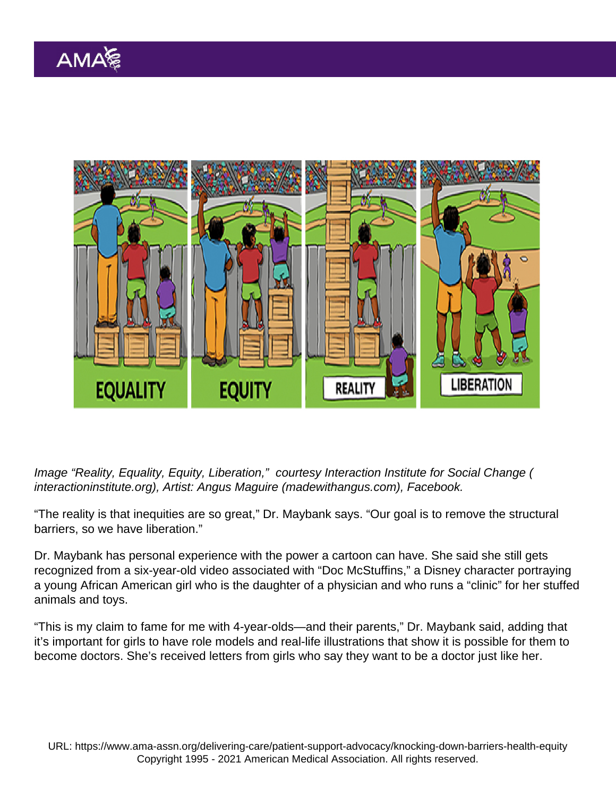Image "Reality, Equality, Equity, Liberation," courtesy Interaction Institute for Social Change ( [interactioninstitute.org](https://interactioninstitute.org/)), Artist: Angus Maguire [\(madewithangus.com](https://madewithangus.com/)), Facebook.

"The reality is that inequities are so great," Dr. Maybank says. "Our goal is to remove the structural barriers, so we have liberation."

Dr. Maybank has personal experience with the power a cartoon can have. She said she still gets recognized from a six-year-old video associated with "Doc McStuffins," a Disney character portraying a young African American girl who is the daughter of a physician and who runs a "clinic" for her stuffed animals and toys.

"This is my claim to fame for me with 4-year-olds—and their parents," Dr. Maybank said, adding that it's important for girls to have role models and real-life illustrations that show it is possible for them to become doctors. She's received letters from girls who say they want to be a doctor just like her.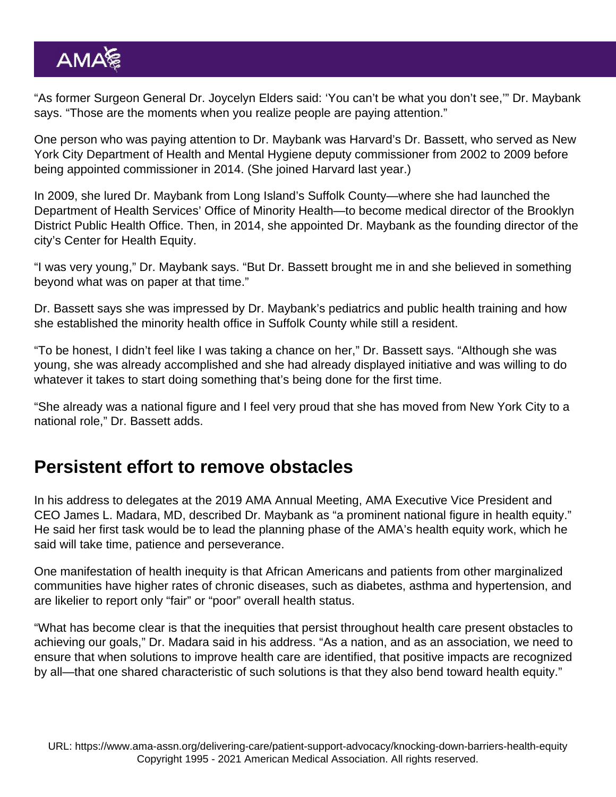"As former Surgeon General Dr. Joycelyn Elders said: 'You can't be what you don't see,'" Dr. Maybank says. "Those are the moments when you realize people are paying attention."

One person who was paying attention to Dr. Maybank was Harvard's Dr. Bassett, who served as New York City Department of Health and Mental Hygiene deputy commissioner from 2002 to 2009 before being appointed commissioner in 2014. (She joined Harvard last year.)

In 2009, she lured Dr. Maybank from Long Island's Suffolk County—where she had launched the Department of Health Services' Office of Minority Health—to become medical director of the Brooklyn District Public Health Office. Then, in 2014, she appointed Dr. Maybank as the founding director of the city's Center for Health Equity.

"I was very young," Dr. Maybank says. "But Dr. Bassett brought me in and she believed in something beyond what was on paper at that time."

Dr. Bassett says she was impressed by Dr. Maybank's pediatrics and public health training and how she established the minority health office in Suffolk County while still a resident.

"To be honest, I didn't feel like I was taking a chance on her," Dr. Bassett says. "Although she was young, she was already accomplished and she had already displayed initiative and was willing to do whatever it takes to start doing something that's being done for the first time.

"She already was a national figure and I feel very proud that she has moved from New York City to a national role," Dr. Bassett adds.

## Persistent effort to remove obstacles

In his [address to delegates](https://www.ama-assn.org/house-delegates/annual-meeting/21st-century-medicine-must-tackle-health-inequity-ama-ceo) at the 2019 AMA Annual Meeting, AMA Executive Vice President and CEO James L. Madara, MD, described Dr. Maybank as "a prominent national figure in health equity." He said her first task would be to lead the planning phase of the AMA's health equity work, which he said will take time, patience and perseverance.

One manifestation of health inequity is that African Americans and patients from other marginalized communities have higher rates of chronic diseases, such as diabetes, asthma and hypertension, and are likelier to report only "fair" or "poor" overall health status.

"What has become clear is that the inequities that persist throughout health care present obstacles to achieving our goals," Dr. Madara said in his address. "As a nation, and as an association, we need to ensure that when solutions to improve health care are identified, that positive impacts are recognized by all—that one shared characteristic of such solutions is that they also bend toward health equity."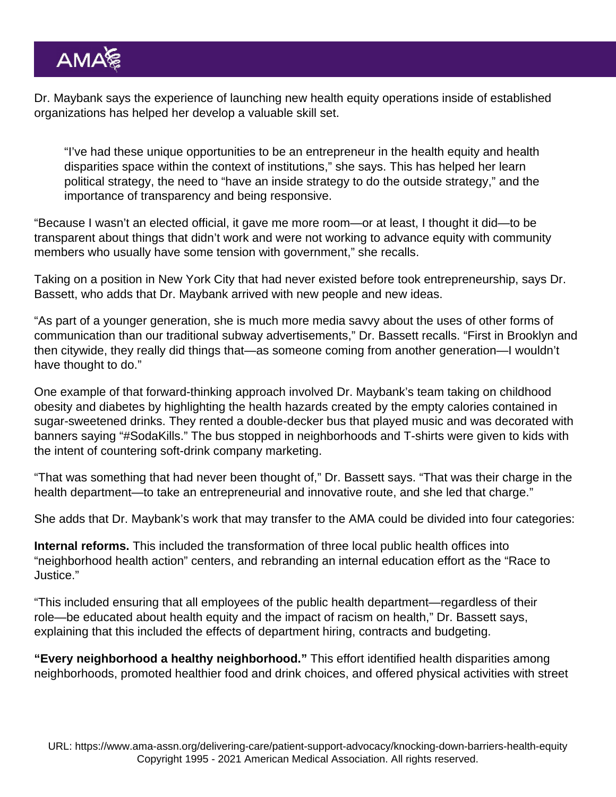Dr. Maybank says the experience of launching new health equity operations inside of established organizations has helped her develop a valuable skill set.

"I've had these unique opportunities to be an entrepreneur in the health equity and health disparities space within the context of institutions," she says. This has helped her learn political strategy, the need to "have an inside strategy to do the outside strategy," and the importance of transparency and being responsive.

"Because I wasn't an elected official, it gave me more room—or at least, I thought it did—to be transparent about things that didn't work and were not working to advance equity with community members who usually have some tension with government," she recalls.

Taking on a position in New York City that had never existed before took entrepreneurship, says Dr. Bassett, who adds that Dr. Maybank arrived with new people and new ideas.

"As part of a younger generation, she is much more media savvy about the uses of other forms of communication than our traditional subway advertisements," Dr. Bassett recalls. "First in Brooklyn and then citywide, they really did things that—as someone coming from another generation—I wouldn't have thought to do."

One example of that forward-thinking approach involved Dr. Maybank's team taking on childhood obesity and diabetes by highlighting the health hazards created by the empty calories contained in sugar-sweetened drinks. They rented a double-decker bus that played music and was decorated with banners saying "#SodaKills." The bus stopped in neighborhoods and T-shirts were given to kids with the intent of countering soft-drink company marketing.

"That was something that had never been thought of," Dr. Bassett says. "That was their charge in the health department—to take an entrepreneurial and innovative route, and she led that charge."

She adds that Dr. Maybank's work that may transfer to the AMA could be divided into four categories:

Internal reforms. This included the transformation of three local public health offices into "neighborhood health action" centers, and rebranding an internal education effort as the "Race to Justice."

"This included ensuring that all employees of the public health department—regardless of their role—be educated about health equity and the impact of racism on health," Dr. Bassett says, explaining that this included the effects of department hiring, contracts and budgeting.

"Every neighborhood a healthy neighborhood." This effort identified health disparities among neighborhoods, promoted healthier food and drink choices, and offered physical activities with street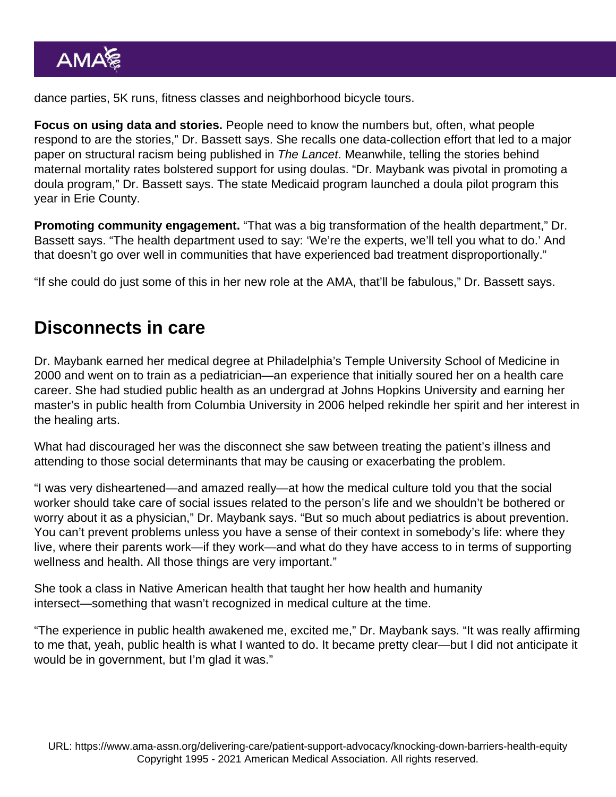dance parties, 5K runs, fitness classes and neighborhood bicycle tours.

Focus on using data and stories. People need to know the numbers but, often, what people respond to are the stories," Dr. Bassett says. She recalls one data-collection effort that led to a major paper on structural racism being published in The Lancet. Meanwhile, telling the stories behind maternal mortality rates bolstered support for using doulas. "Dr. Maybank was pivotal in promoting a doula program," Dr. Bassett says. The state Medicaid program launched a doula pilot program this year in Erie County.

Promoting community engagement. "That was a big transformation of the health department," Dr. Bassett says. "The health department used to say: 'We're the experts, we'll tell you what to do.' And that doesn't go over well in communities that have experienced bad treatment disproportionally."

"If she could do just some of this in her new role at the AMA, that'll be fabulous," Dr. Bassett says.

## Disconnects in care

Dr. Maybank earned her medical degree at Philadelphia's Temple University School of Medicine in 2000 and went on to train as a pediatrician—an experience that initially soured her on a health care career. She had studied public health as an undergrad at Johns Hopkins University and earning her master's in public health from Columbia University in 2006 helped rekindle her spirit and her interest in the healing arts.

What had discouraged her was the disconnect she saw between treating the patient's illness and attending to those social determinants that may be causing or exacerbating the problem.

"I was very disheartened—and amazed really—at how the medical culture told you that the social worker should take care of social issues related to the person's life and we shouldn't be bothered or worry about it as a physician," Dr. Maybank says. "But so much about pediatrics is about prevention. You can't prevent problems unless you have a sense of their context in somebody's life: where they live, where their parents work—if they work—and what do they have access to in terms of supporting wellness and health. All those things are very important."

She took a class in Native American health that taught her how health and humanity intersect—something that wasn't recognized in medical culture at the time.

"The experience in public health awakened me, excited me," Dr. Maybank says. "It was really affirming to me that, yeah, public health is what I wanted to do. It became pretty clear—but I did not anticipate it would be in government, but I'm glad it was."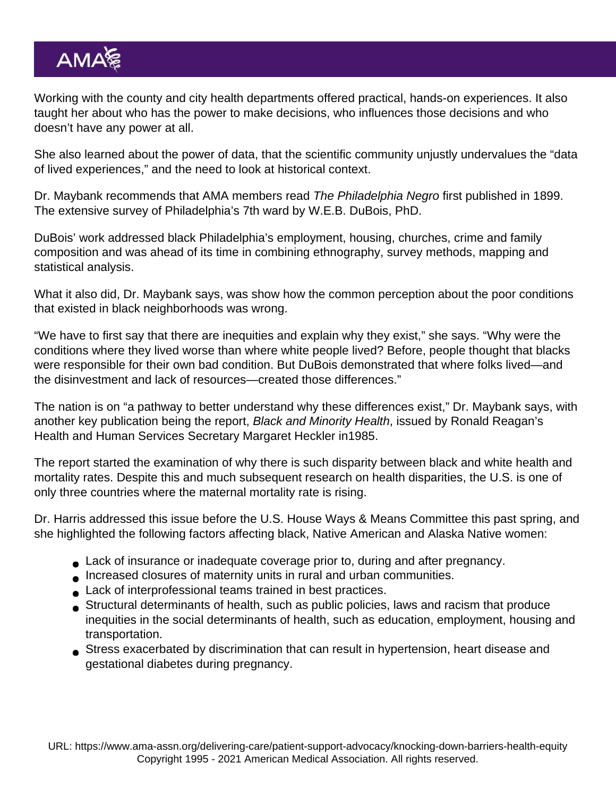Working with the county and city health departments offered practical, hands-on experiences. It also taught her about who has the power to make decisions, who influences those decisions and who doesn't have any power at all.

She also learned about the power of data, that the scientific community unjustly undervalues the "data of lived experiences," and the need to look at historical context.

Dr. Maybank recommends that AMA members read The Philadelphia Negro first published in 1899. The extensive survey of Philadelphia's 7th ward by W.E.B. DuBois, PhD.

DuBois' work addressed black Philadelphia's employment, housing, churches, crime and family composition and was ahead of its time in combining ethnography, survey methods, mapping and statistical analysis.

What it also did, Dr. Maybank says, was show how the common perception about the poor conditions that existed in black neighborhoods was wrong.

"We have to first say that there are inequities and explain why they exist," she says. "Why were the conditions where they lived worse than where white people lived? Before, people thought that blacks were responsible for their own bad condition. But DuBois demonstrated that where folks lived—and the disinvestment and lack of resources—created those differences."

The nation is on "a pathway to better understand why these differences exist," Dr. Maybank says, with another key publication being the report, Black and Minority Health, issued by Ronald Reagan's Health and Human Services Secretary Margaret Heckler in1985.

The report started the examination of why there is such disparity between black and white health and mortality rates. Despite this and much subsequent research on health disparities, the U.S. is one of only three countries where the maternal mortality rate is rising.

Dr. Harris [addressed this issue](https://www.ama-assn.org/delivering-care/population-care/inequities-maternal-mortality-must-be-attacked-head) before the U.S. House Ways & Means Committee this past spring, and she highlighted the following factors affecting black, Native American and Alaska Native women:

- Lack of insurance or inadequate coverage prior to, during and after pregnancy.
- Increased closures of maternity units in rural and urban communities.
- Lack of interprofessional teams trained in best practices.
- Structural determinants of health, such as public policies, laws and racism that produce inequities in the social determinants of health, such as education, employment, housing and transportation.
- Stress exacerbated by discrimination that can result in hypertension, heart disease and gestational diabetes during pregnancy.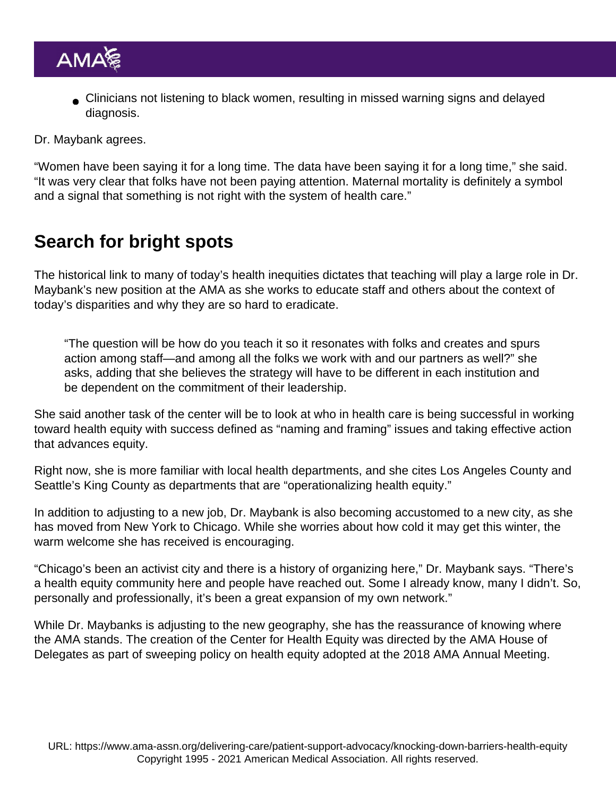Clinicians not listening to black women, resulting in missed warning signs and delayed diagnosis.

Dr. Maybank agrees.

"Women have been saying it for a long time. The data have been saying it for a long time," she said. "It was very clear that folks have not been paying attention. Maternal mortality is definitely a symbol and a signal that something is not right with the system of health care."

## Search for bright spots

The historical link to many of today's health inequities dictates that teaching will play a large role in Dr. Maybank's new position at the AMA as she works to educate staff and others about the context of today's disparities and why they are so hard to eradicate.

"The question will be how do you teach it so it resonates with folks and creates and spurs action among staff—and among all the folks we work with and our partners as well?" she asks, adding that she believes the strategy will have to be different in each institution and be dependent on the commitment of their leadership.

She said another task of the center will be to look at who in health care is being successful in working toward health equity with success defined as "naming and framing" issues and taking effective action that advances equity.

Right now, she is more familiar with local health departments, and she cites Los Angeles County and Seattle's King County as departments that are "operationalizing health equity."

In addition to adjusting to a new job, Dr. Maybank is also becoming accustomed to a new city, as she has moved from New York to Chicago. While she worries about how cold it may get this winter, the warm welcome she has received is encouraging.

"Chicago's been an activist city and there is a history of organizing here," Dr. Maybank says. "There's a health equity community here and people have reached out. Some I already know, many I didn't. So, personally and professionally, it's been a great expansion of my own network."

While Dr. Maybanks is adjusting to the new geography, she has the reassurance of knowing where the AMA stands. The creation of the Center for Health Equity was directed by the AMA House of Delegates as part of [sweeping policy on health equity](https://www.ama-assn.org/delivering-care/patient-support-advocacy/ama-puts-its-organizational-muster-behind-health-equity) adopted at the 2018 AMA Annual Meeting.